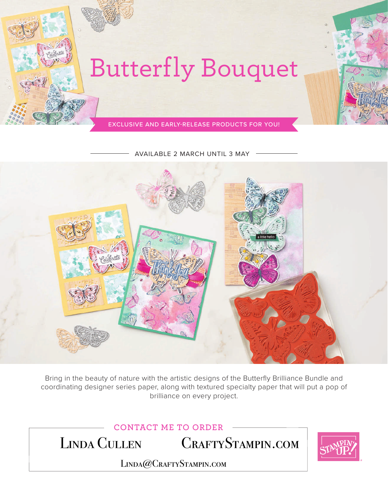

AVAILABLE 2 MARCH UNTIL 3 MAY



Bring in the beauty of nature with the artistic designs of the Butterfly Brilliance Bundle and coordinating designer series paper, along with textured specialty paper that will put a pop of brilliance on every project.

**CONTACT ME TO ORDER**

LINDA CULLEN CRAFTYSTAMPIN.COM



LINDA@CRAFTYSTAMPIN.COM